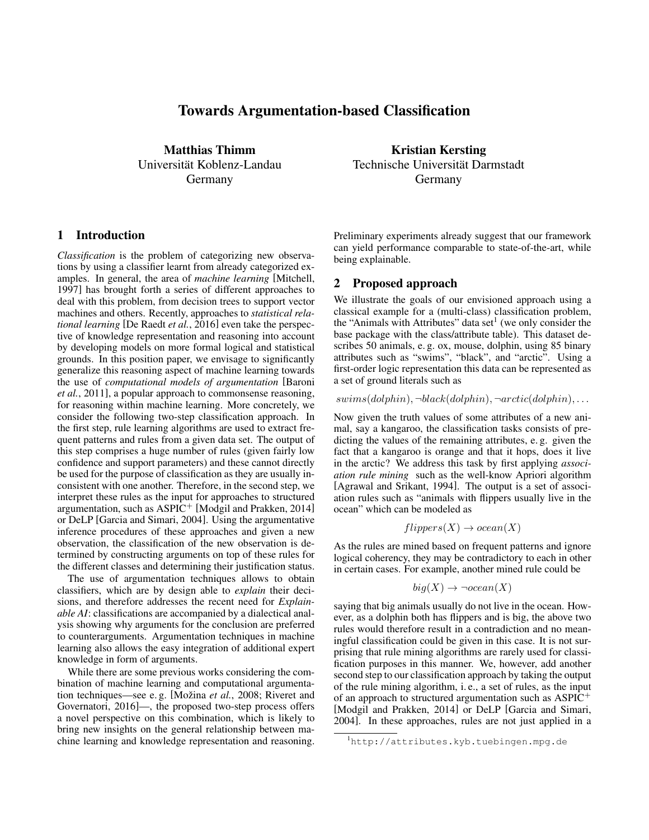# Towards Argumentation-based Classification

Matthias Thimm Universitat Koblenz-Landau ¨ Germany

## 1 Introduction

*Classification* is the problem of categorizing new observations by using a classifier learnt from already categorized examples. In general, the area of *machine learning* [Mitchell, 1997] has brought forth a series of different approaches to deal with this problem, from decision trees to support vector machines and others. Recently, approaches to *statistical relational learning* [De Raedt *et al.*, 2016] even take the perspective of knowledge representation and reasoning into account by developing models on more formal logical and statistical grounds. In this position paper, we envisage to significantly generalize this reasoning aspect of machine learning towards the use of *computational models of argumentation* [Baroni *et al.*, 2011], a popular approach to commonsense reasoning, for reasoning within machine learning. More concretely, we consider the following two-step classification approach. In the first step, rule learning algorithms are used to extract frequent patterns and rules from a given data set. The output of this step comprises a huge number of rules (given fairly low confidence and support parameters) and these cannot directly be used for the purpose of classification as they are usually inconsistent with one another. Therefore, in the second step, we interpret these rules as the input for approaches to structured argumentation, such as ASPIC<sup>+</sup> [Modgil and Prakken, 2014] or DeLP [Garcia and Simari, 2004]. Using the argumentative inference procedures of these approaches and given a new observation, the classification of the new observation is determined by constructing arguments on top of these rules for the different classes and determining their justification status.

The use of argumentation techniques allows to obtain classifiers, which are by design able to *explain* their decisions, and therefore addresses the recent need for *Explainable AI*: classifications are accompanied by a dialectical analysis showing why arguments for the conclusion are preferred to counterarguments. Argumentation techniques in machine learning also allows the easy integration of additional expert knowledge in form of arguments.

While there are some previous works considering the combination of machine learning and computational argumentation techniques—see e.g. [Možina et al., 2008; Riveret and Governatori, 2016]—, the proposed two-step process offers a novel perspective on this combination, which is likely to bring new insights on the general relationship between machine learning and knowledge representation and reasoning.

Kristian Kersting Technische Universität Darmstadt Germany

Preliminary experiments already suggest that our framework can yield performance comparable to state-of-the-art, while being explainable.

## 2 Proposed approach

We illustrate the goals of our envisioned approach using a classical example for a (multi-class) classification problem, the "Animals with Attributes" data set<sup>1</sup> (we only consider the base package with the class/attribute table). This dataset describes 50 animals, e. g. ox, mouse, dolphin, using 85 binary attributes such as "swims", "black", and "arctic". Using a first-order logic representation this data can be represented as a set of ground literals such as

 $swims(dolphin), \neg black(dolphin), \neg arctic(dolphin), \dots$ 

Now given the truth values of some attributes of a new animal, say a kangaroo, the classification tasks consists of predicting the values of the remaining attributes, e. g. given the fact that a kangaroo is orange and that it hops, does it live in the arctic? We address this task by first applying *association rule mining* such as the well-know Apriori algorithm [Agrawal and Srikant, 1994]. The output is a set of association rules such as "animals with flippers usually live in the ocean" which can be modeled as

$$
flippers(X) \to ocean(X)
$$

As the rules are mined based on frequent patterns and ignore logical coherency, they may be contradictory to each in other in certain cases. For example, another mined rule could be

$$
big(X) \to \neg ocean(X)
$$

saying that big animals usually do not live in the ocean. However, as a dolphin both has flippers and is big, the above two rules would therefore result in a contradiction and no meaningful classification could be given in this case. It is not surprising that rule mining algorithms are rarely used for classification purposes in this manner. We, however, add another second step to our classification approach by taking the output of the rule mining algorithm, i. e., a set of rules, as the input of an approach to structured argumentation such as  $ASPIC^+$ [Modgil and Prakken, 2014] or DeLP [Garcia and Simari, 2004]. In these approaches, rules are not just applied in a

<sup>1</sup>http://attributes.kyb.tuebingen.mpg.de